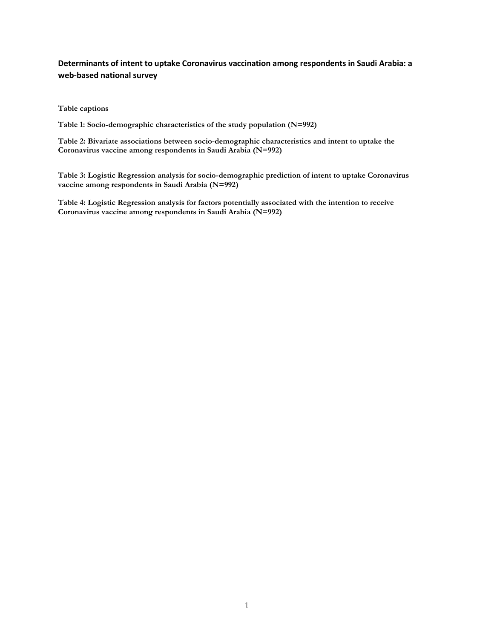## **Determinants of intent to uptake Coronavirus vaccination among respondents in Saudi Arabia: a web-based national survey**

**Table captions**

**Table 1: Socio-demographic characteristics of the study population (N=992)**

**Table 2: Bivariate associations between socio-demographic characteristics and intent to uptake the Coronavirus vaccine among respondents in Saudi Arabia (N=992)**

**Table 3: Logistic Regression analysis for socio-demographic prediction of intent to uptake Coronavirus vaccine among respondents in Saudi Arabia (N=992)**

**Table 4: Logistic Regression analysis for factors potentially associated with the intention to receive Coronavirus vaccine among respondents in Saudi Arabia (N=992)**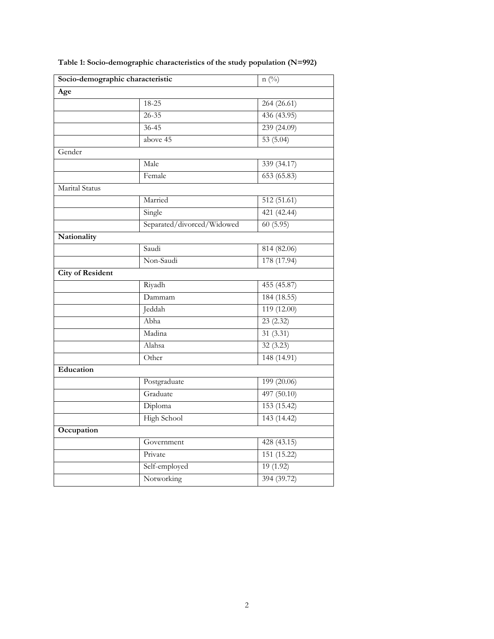| Socio-demographic characteristic |                            | $n(^{0}/_{0})$          |  |
|----------------------------------|----------------------------|-------------------------|--|
| Age                              |                            |                         |  |
|                                  | 18-25                      | 264 (26.61)             |  |
|                                  | $26 - 35$                  | 436 (43.95)             |  |
|                                  | $36 - 45$                  | 239 (24.09)             |  |
|                                  | above 45                   | 53 $(5.04)$             |  |
| Gender                           |                            |                         |  |
|                                  | Male                       | 339 (34.17)             |  |
|                                  | Female                     | 653(65.83)              |  |
| Marital Status                   |                            |                         |  |
|                                  | Married                    | $\overline{512(51.61)}$ |  |
|                                  | Single                     | 421 (42.44)             |  |
|                                  | Separated/divorced/Widowed | 60(5.95)                |  |
| Nationality                      |                            |                         |  |
|                                  | Saudi                      | 814 (82.06)             |  |
|                                  | Non-Saudi                  | 178 (17.94)             |  |
| <b>City of Resident</b>          |                            |                         |  |
|                                  | Riyadh                     | 455 (45.87)             |  |
|                                  | Dammam                     | 184 (18.55)             |  |
|                                  | Jeddah                     | 119 (12.00)             |  |
|                                  | Abha                       | 23(2.32)                |  |
|                                  | Madina                     | 31(3.31)                |  |
|                                  | Alahsa                     | 32 (3.23)               |  |
|                                  | Other                      | 148 (14.91)             |  |
| Education                        |                            |                         |  |
|                                  | Postgraduate               | 199 (20.06)             |  |
|                                  | Graduate                   | 497 (50.10)             |  |
|                                  | Diploma                    | 153 (15.42)             |  |
|                                  | <b>High School</b>         | 143(14.42)              |  |
| Occupation                       |                            |                         |  |
|                                  | Government                 | 428 (43.15)             |  |
|                                  | Private                    | 151 (15.22)             |  |
|                                  | Self-employed              | 19(1.92)                |  |
|                                  | Notworking                 | 394 (39.72)             |  |
|                                  |                            |                         |  |

**Table 1: Socio-demographic characteristics of the study population (N=992)**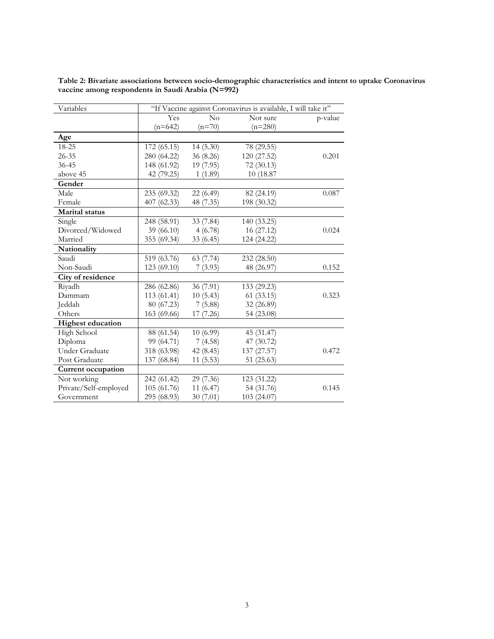| Variables                 | "If Vaccine against Coronavirus is available, I will take it" |           |             |         |
|---------------------------|---------------------------------------------------------------|-----------|-------------|---------|
|                           | Yes                                                           | No        | Not sure    | p-value |
|                           | $(n=642)$                                                     | $(n=70)$  | $(n=280)$   |         |
| Age                       |                                                               |           |             |         |
| 18-25                     | 172 (65.15)                                                   | 14(5.30)  | 78 (29.55)  |         |
| $26 - 35$                 | 280 (64.22)                                                   | 36 (8.26) | 120 (27.52) | 0.201   |
| $36 - 45$                 | 148 (61.92)                                                   | 19 (7.95) | 72(30.13)   |         |
| above 45                  | 42 (79.25)                                                    | 1(1.89)   | 10 (18.87)  |         |
| Gender                    |                                                               |           |             |         |
| Male                      | 235 (69.32)                                                   | 22(6.49)  | 82 (24.19)  | 0.087   |
| Female                    | 407 (62.33)                                                   | 48 (7.35) | 198 (30.32) |         |
| Marital status            |                                                               |           |             |         |
| Single                    | 248 (58.91)                                                   | 33 (7.84) | 140 (33.25) |         |
| Divorced/Widowed          | 39 (66.10)                                                    | 4(6.78)   | 16 (27.12)  | 0.024   |
| Married                   | 355 (69.34)                                                   | 33 (6.45) | 124 (24.22) |         |
| Nationality               |                                                               |           |             |         |
| Saudi                     | 519 (63.76)                                                   | 63 (7.74) | 232 (28.50) |         |
| Non-Saudi                 | 123 (69.10)                                                   | 7(3.93)   | 48 (26.97)  | 0.152   |
| City of residence         |                                                               |           |             |         |
| Riyadh                    | 286 (62.86)                                                   | 36 (7.91) | 133 (29.23) |         |
| Dammam                    | 113 (61.41)                                                   | 10(5.43)  | 61(33.15)   | 0.323   |
| Jeddah                    | 80 (67.23)                                                    | 7(5.88)   | 32 (26.89)  |         |
| Others                    | 163 (69.66)                                                   | 17 (7.26) | 54 (23.08)  |         |
| <b>Highest education</b>  |                                                               |           |             |         |
| High School               | 88 (61.54)                                                    | 10(6.99)  | 45 (31.47)  |         |
| Diploma                   | 99 (64.71)                                                    | 7(4.58)   | 47 (30.72)  |         |
| <b>Under Graduate</b>     | 318 (63.98)                                                   | 42 (8.45) | 137 (27.57) | 0.472   |
| Post Graduate             | 137 (68.84)                                                   | 11(5.53)  | 51 (25.63)  |         |
| <b>Current occupation</b> |                                                               |           |             |         |
| Not working               | 242 (61.42)                                                   | 29 (7.36) | 123 (31.22) |         |
| Private/Self-employed     | 105 (61.76)                                                   | 11 (6.47) | 54 (31.76)  | 0.145   |
| Government                | 295 (68.93)                                                   | 30(7.01)  | 103(24.07)  |         |

**Table 2: Bivariate associations between socio-demographic characteristics and intent to uptake Coronavirus vaccine among respondents in Saudi Arabia (N=992)**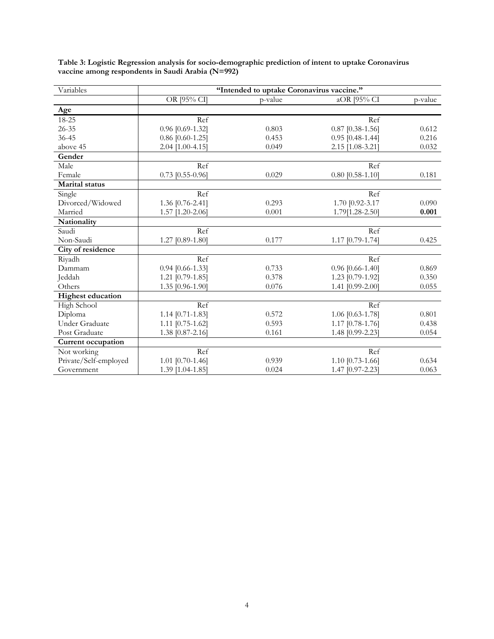| Variables                 | "Intended to uptake Coronavirus vaccine." |         |                    |         |
|---------------------------|-------------------------------------------|---------|--------------------|---------|
|                           | OR [95% CI]                               | p-value | aOR [95% CI        | p-value |
| Age                       |                                           |         |                    |         |
| 18-25                     | Ref                                       |         | Ref                |         |
| $26 - 35$                 | 0.96 [0.69-1.32]                          | 0.803   | $0.87$ [0.38-1.56] | 0.612   |
| $36 - 45$                 | $0.86$ [0.60-1.25]                        | 0.453   | $0.95$ [0.48-1.44] | 0.216   |
| above 45                  | 2.04 [1.00-4.15]                          | 0.049   | 2.15 [1.08-3.21]   | 0.032   |
| Gender                    |                                           |         |                    |         |
| Male                      | Ref                                       |         | Ref                |         |
| Female                    | $0.73$ [0.55-0.96]                        | 0.029   | $0.80$ [0.58-1.10] | 0.181   |
| <b>Marital</b> status     |                                           |         |                    |         |
| Single                    | Ref                                       |         | Ref                |         |
| Divorced/Widowed          | 1.36 [0.76-2.41]                          | 0.293   | 1.70 [0.92-3.17    | 0.090   |
| Married                   | 1.57 [1.20-2.06]                          | 0.001   | 1.79[1.28-2.50]    | 0.001   |
| Nationality               |                                           |         |                    |         |
| Saudi                     | Ref                                       |         | Ref                |         |
| Non-Saudi                 | 1.27 [0.89-1.80]                          | 0.177   | 1.17 [0.79-1.74]   | 0.425   |
| City of residence         |                                           |         |                    |         |
| Riyadh                    | Ref                                       |         | Ref                |         |
| Dammam                    | $0.94$ [0.66-1.33]                        | 0.733   | $0.96$ [0.66-1.40] | 0.869   |
| Jeddah                    | 1.21 [0.79-1.85]                          | 0.378   | 1.23 [0.79-1.92]   | 0.350   |
| Others                    | 1.35 [0.96-1.90]                          | 0.076   | 1.41 [0.99-2.00]   | 0.055   |
| <b>Highest education</b>  |                                           |         |                    |         |
| High School               | Ref                                       |         | Ref                |         |
| Diploma                   | 1.14 [0.71-1.83]                          | 0.572   | 1.06 [0.63-1.78]   | 0.801   |
| <b>Under Graduate</b>     | 1.11 [0.75-1.62]                          | 0.593   | 1.17 [0.78-1.76]   | 0.438   |
| Post Graduate             | 1.38 [0.87-2.16]                          | 0.161   | 1.48 [0.99-2.23]   | 0.054   |
| <b>Current occupation</b> |                                           |         |                    |         |
| Not working               | Ref                                       |         | Ref                |         |
| Private/Self-employed     | 1.01 [0.70-1.46]                          | 0.939   | 1.10 [0.73-1.66]   | 0.634   |
| Government                | 1.39 [1.04-1.85]                          | 0.024   | 1.47 [0.97-2.23]   | 0.063   |

**Table 3: Logistic Regression analysis for socio-demographic prediction of intent to uptake Coronavirus vaccine among respondents in Saudi Arabia (N=992)**